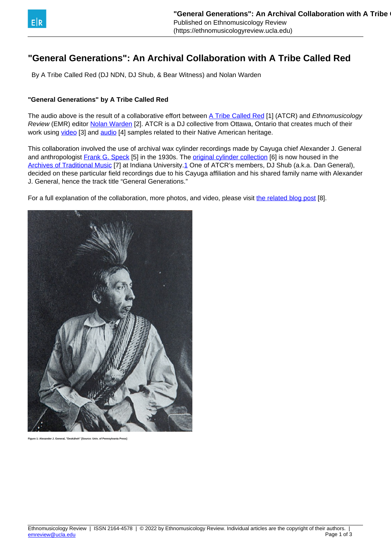## <span id="page-0-0"></span>**"General Generations": An Archival Collaboration with A Tribe Called Red**

By A Tribe Called Red (DJ NDN, DJ Shub, & Bear Witness) and Nolan Warden

## **"General Generations" by A Tribe Called Red**

The audio above is the result of a collaborative effort between [A Tribe Called Red](http://atribecalledred.blogspot.com/) [1] (ATCR) and Ethnomusicology Review (EMR) editor [Nolan Warden](http://www.nolanwarden.com) [2]. ATCR is a DJ collective from Ottawa, Ontario that creates much of their work using [video](http://vimeo.com/user3414990/videos) [3] and [audio](http://soundcloud.com/a-tribe-called-red) [4] samples related to their Native American heritage.

This collaboration involved the use of archival wax cylinder recordings made by Cayuga chief Alexander J. General and anthropologist [Frank G. Speck](http://www.archives.upenn.edu/faids/upt/upt50/speck_fg.html) [5] in the 1930s. The [original cylinder collection](http://www.iucat.iu.edu/uhtbin/cgisirsi/x/0/0/57/5/3?searchdata1=1395491{CKEY}&searchfield1=GENERAL^SUBJECT^GENERAL^^&user_id=WEBSERVER) [6] is now housed in the [Archives of Traditional Music](http://www.indiana.edu/~libarchm/) [7] at Indiana University[.1](#page-0-0) One of ATCR's members, DJ Shub (a.k.a. Dan General), decided on these particular field recordings due to his Cayuga affiliation and his shared family name with Alexander J. General, hence the track title "General Generations."

For a full explanation of the collaboration, more photos, and video, please visit [the related blog post](http://ethnomusicologyreview.ucla.edu/content/notes-collaboration-tribe-called-red) [8].



**Figure 1: Alexander J. General, "Deskáheh" [Source: Univ. of Pennsylvania Press]**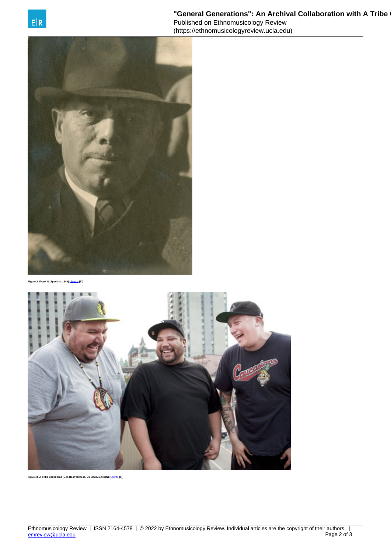



**Figure 2: Frank G. Speck (c. 1940) [**[Source](http://www.archives.upenn.edu/faids/upt/upt50/speck_fg.html) **[5]]**



**Figure 3: A Tribe Called Red (L-R, Bear Witness, DJ Shub, DJ NDN) [**[Source](http://exclaim.ca/News/tribe_called_red_hit_canadian_road) **[9]]**